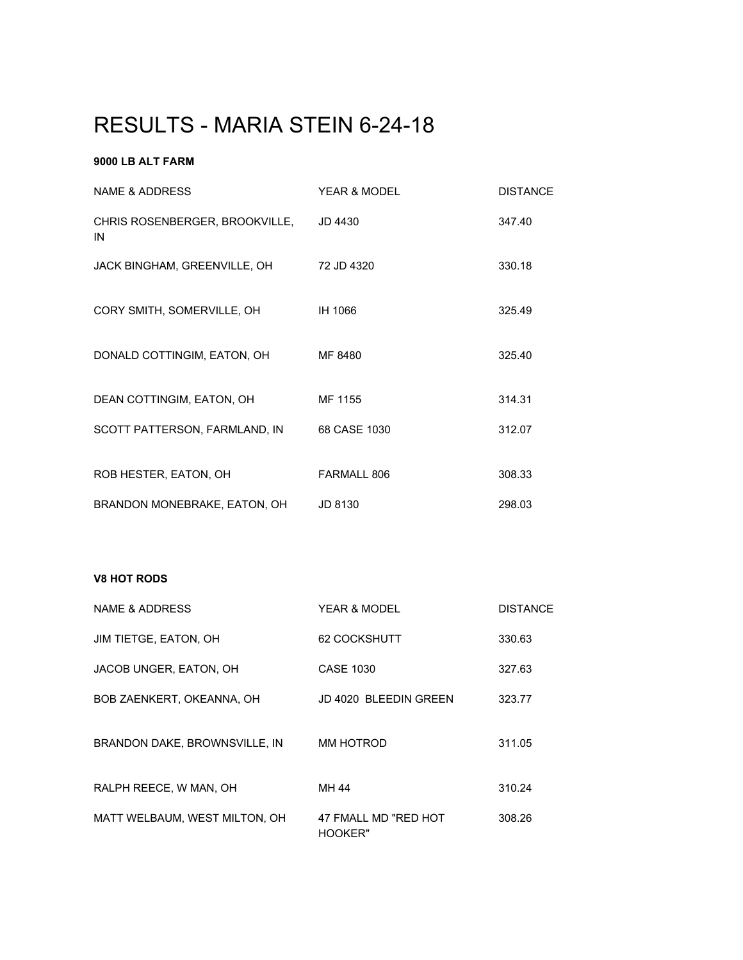# RESULTS - MARIA STEIN 6-24-18

# **9000 LB ALT FARM**

| NAME & ADDRESS                       | YFAR & MODFI | <b>DISTANCE</b> |
|--------------------------------------|--------------|-----------------|
| CHRIS ROSENBERGER, BROOKVILLE,<br>IN | JD 4430      | 347.40          |
| JACK BINGHAM, GREENVILLE, OH         | 72 JD 4320   | 330.18          |
| CORY SMITH, SOMERVILLE, OH           | IH 1066      | 325.49          |
| DONALD COTTINGIM, EATON, OH          | MF 8480      | 325.40          |
| DEAN COTTINGIM, EATON, OH            | MF 1155      | 314.31          |
| SCOTT PATTERSON, FARMLAND, IN        | 68 CASE 1030 | 312.07          |
| ROB HESTER, EATON, OH                | FARMALL 806  | 308.33          |
| BRANDON MONEBRAKE, EATON, OH         | JD 8130      | 298.03          |

#### **V8 HOT RODS**

| NAME & ADDRESS                | YEAR & MODEL                    | <b>DISTANCE</b> |
|-------------------------------|---------------------------------|-----------------|
| JIM TIETGE, EATON, OH         | 62 COCKSHUTT                    | 330.63          |
| JACOB UNGER, EATON, OH        | CASE 1030                       | 327.63          |
| BOB ZAENKERT, OKEANNA, OH     | JD 4020 BLEEDIN GREEN           | 323.77          |
| BRANDON DAKE, BROWNSVILLE, IN | MM HOTROD                       | 311.05          |
| RALPH REECE, W MAN, OH        | MH 44                           | 310.24          |
| MATT WELBAUM, WEST MILTON, OH | 47 FMALL MD "RED HOT<br>HOOKER" | 308.26          |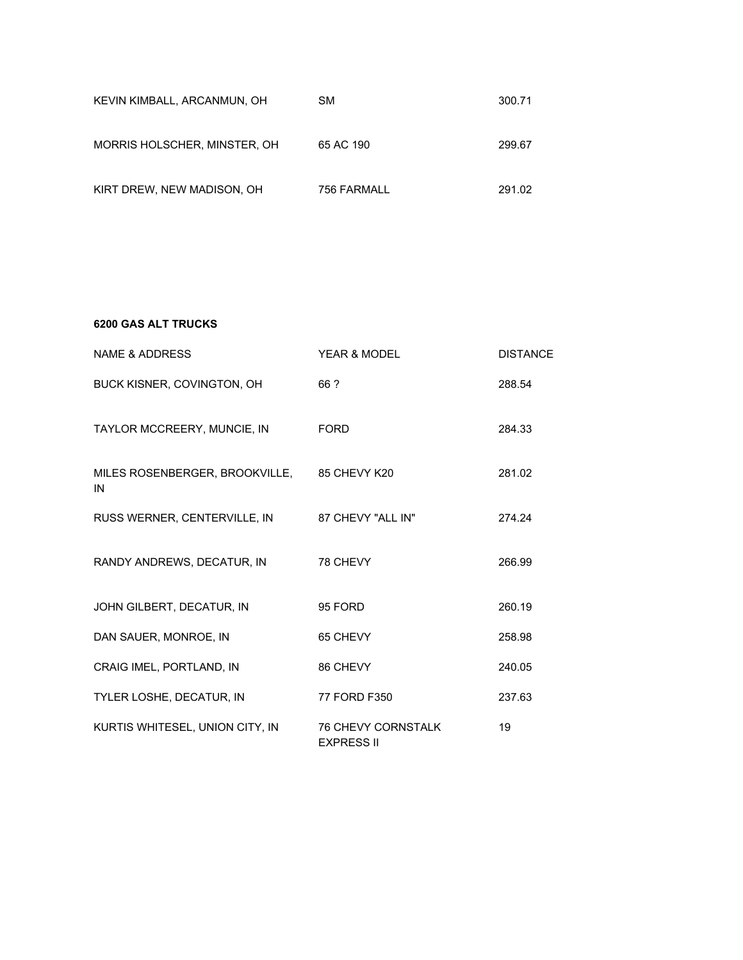| KEVIN KIMBALL, ARCANMUN, OH  | <b>SM</b>   | 300.71 |
|------------------------------|-------------|--------|
| MORRIS HOLSCHER, MINSTER, OH | 65 AC 190   | 299.67 |
| KIRT DREW, NEW MADISON, OH   | 756 FARMALL | 291.02 |

**6200 GAS ALT TRUCKS**

| NAME & ADDRESS                                    | YEAR & MODEL                                   | <b>DISTANCE</b> |
|---------------------------------------------------|------------------------------------------------|-----------------|
| BUCK KISNER, COVINGTON, OH                        | 66 ?                                           | 288.54          |
| TAYLOR MCCREERY, MUNCIE, IN                       | <b>FORD</b>                                    | 284.33          |
| MILES ROSENBERGER, BROOKVILLE, 85 CHEVY K20<br>IN |                                                | 281.02          |
| RUSS WERNER, CENTERVILLE, IN 87 CHEVY "ALL IN"    |                                                | 274.24          |
| RANDY ANDREWS, DECATUR, IN                        | 78 CHEVY                                       | 266.99          |
| JOHN GILBERT, DECATUR, IN                         | 95 FORD                                        | 260.19          |
| DAN SAUER, MONROE, IN                             | 65 CHEVY                                       | 258.98          |
| CRAIG IMEL, PORTLAND, IN                          | 86 CHEVY                                       | 240.05          |
| TYLER LOSHE, DECATUR, IN                          | 77 FORD F350                                   | 237.63          |
| KURTIS WHITESEL, UNION CITY, IN                   | <b>76 CHEVY CORNSTALK</b><br><b>EXPRESS II</b> | 19              |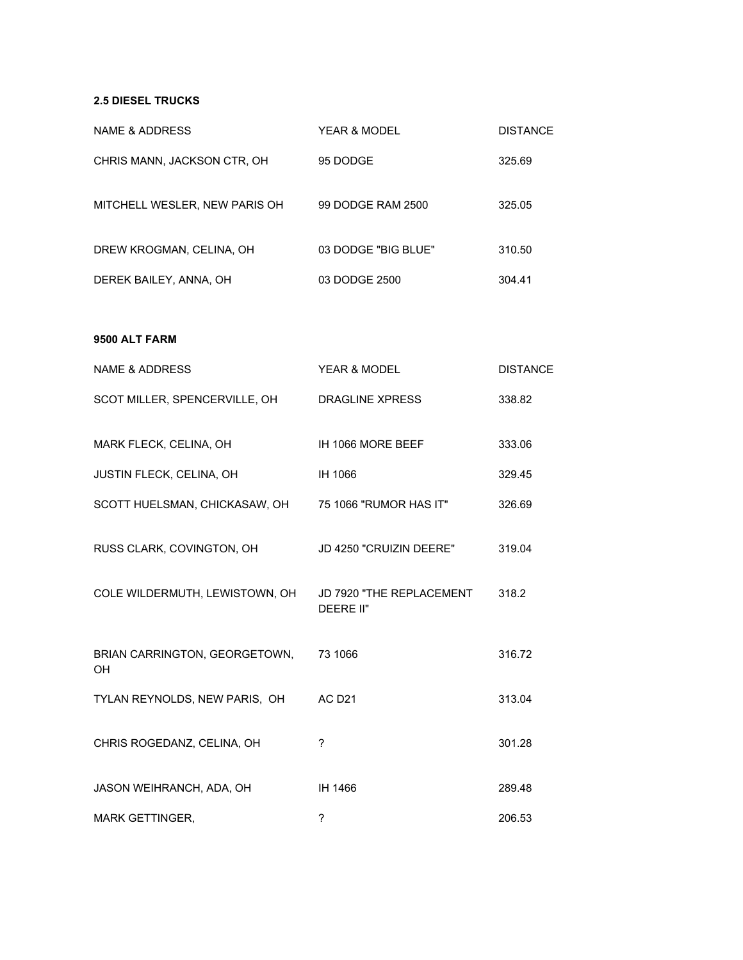### **2.5 DIESEL TRUCKS**

| <b>NAME &amp; ADDRESS</b>                               | YEAR & MODEL            | <b>DISTANCE</b> |
|---------------------------------------------------------|-------------------------|-----------------|
| CHRIS MANN, JACKSON CTR, OH                             | 95 DODGE                | 325.69          |
| MITCHELL WESLER, NEW PARIS OH 99 DODGE RAM 2500         |                         | 325.05          |
| DREW KROGMAN, CELINA, OH                                | 03 DODGE "BIG BLUE"     | 310.50          |
| DEREK BAILEY, ANNA, OH                                  | 03 DODGE 2500           | 304.41          |
| 9500 ALT FARM                                           |                         |                 |
| <b>NAME &amp; ADDRESS</b>                               | YEAR & MODEL            | <b>DISTANCE</b> |
| SCOT MILLER, SPENCERVILLE, OH DRAGLINE XPRESS           |                         | 338.82          |
| MARK FLECK, CELINA, OH                                  | IH 1066 MORE BEEF       | 333.06          |
| JUSTIN FLECK, CELINA, OH                                | IH 1066                 | 329.45          |
| SCOTT HUELSMAN, CHICKASAW, OH 75 1066 "RUMOR HAS IT"    |                         | 326.69          |
| RUSS CLARK, COVINGTON, OH                               | JD 4250 "CRUIZIN DEERE" | 319.04          |
| COLE WILDERMUTH, LEWISTOWN, OH JD 7920 "THE REPLACEMENT | DEERE II"               | 318.2           |
| BRIAN CARRINGTON, GEORGETOWN, 73 1066<br>OH             |                         | 316.72          |
| TYLAN REYNOLDS, NEW PARIS, OH                           | AC D <sub>21</sub>      | 313.04          |
| CHRIS ROGEDANZ, CELINA, OH                              | ?                       | 301.28          |
| JASON WEIHRANCH, ADA, OH                                | IH 1466                 | 289.48          |
| MARK GETTINGER,                                         | ?                       | 206.53          |